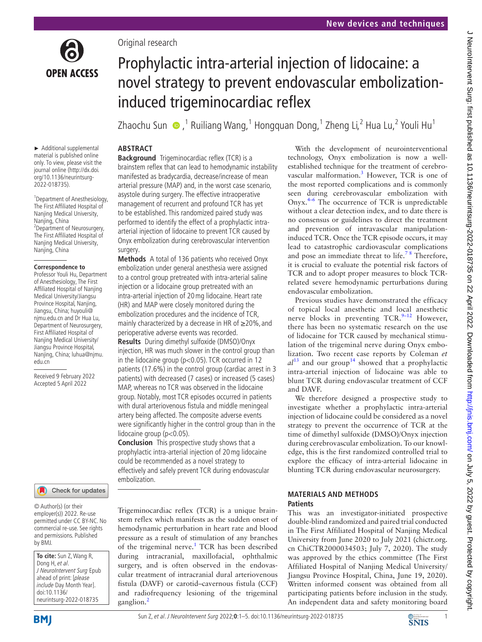

## Original research

**ABSTRACT**

# Prophylactic intra-arterial injection of lidocaine: a novel strategy to prevent endovascular embolizationinduced trigeminocardiac reflex

Zhaochu Sun  $\;\bullet\;$ , <sup>1</sup> Ruiliang Wang, <sup>1</sup> Hongquan Dong, <sup>1</sup> Zheng Li, <sup>2</sup> Hua Lu, <sup>2</sup> Youli Hu <sup>1</sup>

#### ► Additional supplemental material is published online only. To view, please visit the journal online ([http://dx.doi.](http://dx.doi.org/10.1136/neurintsurg-2022-018735) [org/10.1136/neurintsurg-](http://dx.doi.org/10.1136/neurintsurg-2022-018735)[2022-018735\)](http://dx.doi.org/10.1136/neurintsurg-2022-018735).

1 Department of Anesthesiology, The First Affiliated Hospital of Nanjing Medical University, Nanjing, China 2 Department of Neurosurgery, The First Affiliated Hospital of Nanjing Medical University, Nanjing, China

#### **Correspondence to**

Professor Youli Hu, Department of Anesthesiology, The First Affiliated Hospital of Nanjing Medical University/Jiangsu Province Hospital, Nanjing, Jiangsu, China; huyouli@ njmu.edu.cn and Dr Hua Lu, Department of Neurosurgery, First Affiliated Hospital of Nanjing Medical University/ Jiangsu Province Hospital, Nanjing, China; luhua@njmu. edu.cn

Received 9 February 2022 Accepted 5 April 2022

#### Check for updates

© Author(s) (or their employer(s)) 2022. Re-use permitted under CC BY-NC. No commercial re-use. See rights and permissions. Published by BMJ.

**To cite:** Sun Z, Wang R, Dong H, et al. J NeuroIntervent Surg Epub ahead of print: [please include Day Month Year]. doi:10.1136/ neurintsurg-2022-018735

**Background** Trigeminocardiac reflex (TCR) is a brainstem reflex that can lead to hemodynamic instability manifested as bradycardia, decrease/increase of mean arterial pressure (MAP) and, in the worst case scenario, asystole during surgery. The effective intraoperative management of recurrent and profound TCR has yet to be established. This randomized paired study was performed to identify the effect of a prophylactic intraarterial injection of lidocaine to prevent TCR caused by Onyx embolization during cerebrovascular intervention surgery.

**Methods** A total of 136 patients who received Onyx embolization under general anesthesia were assigned to a control group pretreated with intra-arterial saline injection or a lidocaine group pretreated with an intra-arterial injection of 20mg lidocaine. Heart rate (HR) and MAP were closely monitored during the embolization procedures and the incidence of TCR, mainly characterized by a decrease in HR of ≥20%, and perioperative adverse events was recorded.

**Results** During dimethyl sulfoxide (DMSO)/Onyx injection, HR was much slower in the control group than in the lidocaine group (p<0.05). TCR occurred in 12 patients (17.6%) in the control group (cardiac arrest in 3 patients) with decreased (7 cases) or increased (5 cases) MAP, whereas no TCR was observed in the lidocaine group. Notably, most TCR episodes occurred in patients with dural arteriovenous fistula and middle meningeal artery being affected. The composite adverse events were significantly higher in the control group than in the lidocaine group (p<0.05).

**Conclusion** This prospective study shows that a prophylactic intra-arterial injection of 20mg lidocaine could be recommended as a novel strategy to effectively and safely prevent TCR during endovascular embolization.

Trigeminocardiac reflex (TCR) is a unique brainstem reflex which manifests as the sudden onset of hemodynamic perturbation in heart rate and blood pressure as a result of stimulation of any branches of the trigeminal nerve.<sup>[1](#page-4-0)</sup> TCR has been described during intracranial, maxillofacial, ophthalmic surgery, and is often observed in the endovascular treatment of intracranial dural arteriovenous fistula (DAVF) or carotid–cavernous fistula (CCF) and radiofrequency lesioning of the trigeminal ganglion[.2](#page-4-1)

With the development of neurointerventional technology, Onyx embolization is now a wellestablished technique for the treatment of cerebro-vascular malformation.<sup>[3](#page-4-2)</sup> However, TCR is one of the most reported complications and is commonly seen during cerebrovascular embolization with  $Onyx<sup>4–6</sup>$  The occurrence of TCR is unpredictable without a clear detection index, and to date there is no consensus or guidelines to direct the treatment and prevention of intravascular manipulationinduced TCR. Once the TCR episode occurs, it may lead to catastrophic cardiovascular complications and pose an immediate threat to life.<sup>78</sup> Therefore, it is crucial to evaluate the potential risk factors of TCR and to adopt proper measures to block TCRrelated severe hemodynamic perturbations during endovascular embolization.

Previous studies have demonstrated the efficacy of topical local anesthetic and local anesthetic nerve blocks in preventing TCR.<sup>9-12</sup> However, there has been no systematic research on the use of lidocaine for TCR caused by mechanical stimulation of the trigeminal nerve during Onyx embolization. Two recent case reports by Coleman *et*   $a<sup>13</sup>$  and our group<sup>[14](#page-4-7)</sup> showed that a prophylactic intra-arterial injection of lidocaine was able to blunt TCR during endovascular treatment of CCF and DAVF.

We therefore designed a prospective study to investigate whether a prophylactic intra-arterial injection of lidocaine could be considered as a novel strategy to prevent the occurrence of TCR at the time of dimethyl sulfoxide (DMSO)/Onyx injection during cerebrovascular embolization. To our knowledge, this is the first randomized controlled trial to explore the efficacy of intra-arterial lidocaine in blunting TCR during endovascular neurosurgery.

#### **MATERIALS AND METHODS Patients**

This was an investigator-initiated prospective double-blind randomized and paired trial conducted in The First Affiliated Hospital of Nanjing Medical University from June 2020 to July 2021 (chictr.org. cn ChiCTR2000034503; July 7, 2020). The study was approved by the ethics committee (The First Affiliated Hospital of Nanjing Medical University/ Jiangsu Province Hospital, China, June 19, 2020). Written informed consent was obtained from all participating patients before inclusion in the study. An independent data and safety monitoring board

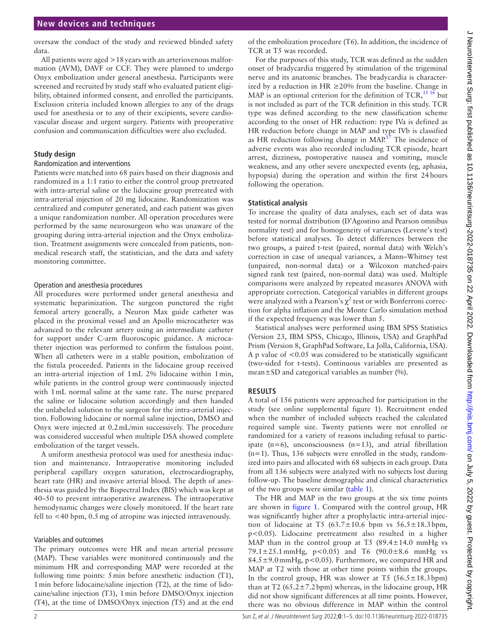oversaw the conduct of the study and reviewed blinded safety data.

All patients were aged >18years with an arteriovenous malformation (AVM), DAVF or CCF. They were planned to undergo Onyx embolization under general anesthesia. Participants were screened and recruited by study staff who evaluated patient eligibility, obtained informed consent, and enrolled the participants. Exclusion criteria included known allergies to any of the drugs used for anesthesia or to any of their excipients, severe cardiovascular disease and urgent surgery. Patients with preoperative confusion and communication difficulties were also excluded.

## **Study design**

#### Randomization and interventions

Patients were matched into 68 pairs based on their diagnosis and randomized in a 1:1 ratio to either the control group pretreated with intra-arterial saline or the lidocaine group pretreated with intra-arterial injection of 20 mg lidocaine. Randomization was centralized and computer generated, and each patient was given a unique randomization number. All operation procedures were performed by the same neurosurgeon who was unaware of the grouping during intra-arterial injection and the Onyx embolization. Treatment assignments were concealed from patients, nonmedical research staff, the statistician, and the data and safety monitoring committee.

## Operation and anesthesia procedures

All procedures were performed under general anesthesia and systematic heparinization. The surgeon punctured the right femoral artery generally, a Neuron Max guide catheter was placed in the proximal vessel and an Apollo microcatheter was advanced to the relevant artery using an intermediate catheter for support under C-arm fluoroscopic guidance. A microcatheter injection was performed to confirm the fistulous point. When all catheters were in a stable position, embolization of the fistula proceeded. Patients in the lidocaine group received an intra-arterial injection of 1mL 2% lidocaine within 1min, while patients in the control group were continuously injected with 1mL normal saline at the same rate. The nurse prepared the saline or lidocaine solution accordingly and then handed the unlabeled solution to the surgeon for the intra-arterial injection. Following lidocaine or normal saline injection, DMSO and Onyx were injected at 0.2mL/min successively. The procedure was considered successful when multiple DSA showed complete embolization of the target vessels.

A uniform anesthesia protocol was used for anesthesia induction and maintenance. Intraoperative monitoring included peripheral capillary oxygen saturation, electrocardiography, heart rate (HR) and invasive arterial blood. The depth of anesthesia was guided by the Bispectral Index (BIS) which was kept at 40–50 to prevent intraoperative awareness. The intraoperative hemodynamic changes were closely monitored. If the heart rate fell to <40 bpm, 0.5mg of atropine was injected intravenously.

### Variables and outcomes

The primary outcomes were HR and mean arterial pressure (MAP). These variables were monitored continuously and the minimum HR and corresponding MAP were recorded at the following time points: 5min before anesthetic induction (T1), 1min before lidocaine/saline injection (T2), at the time of lidocaine/saline injection (T3), 1min before DMSO/Onyx injection (T4), at the time of DMSO/Onyx injection (T5) and at the end

of the embolization procedure (T6). In addition, the incidence of TCR at T5 was recorded.

For the purposes of this study, TCR was defined as the sudden onset of bradycardia triggered by stimulation of the trigeminal nerve and its anatomic branches. The bradycardia is characterized by a reduction in HR  $\geq$  20% from the baseline. Change in MAP is an optional criterion for the definition of TCR,<sup>15 16</sup> but is not included as part of the TCR definition in this study. TCR type was defined according to the new classification scheme according to the onset of HR reduction: type IVa is defined as HR reduction before change in MAP and type IVb is classified as HR reduction following change in  $\text{MAP}^{17}$  The incidence of adverse events was also recorded including TCR episode, heart arrest, dizziness, postoperative nausea and vomiting, muscle weakness, and any other severe unexpected events (eg, aphasia, hypopsia) during the operation and within the first 24hours following the operation.

## **Statistical analysis**

To increase the quality of data analyses, each set of data was tested for normal distribution (D'Agostino and Pearson omnibus normality test) and for homogeneity of variances (Levene's test) before statistical analyses. To detect differences between the two groups, a paired t-test (paired, normal data) with Welch's correction in case of unequal variances, a Mann–Whitney test (unpaired, non-normal data) or a Wilcoxon matched-pairs signed rank test (paired, non-normal data) was used. Multiple comparisons were analyzed by repeated measures ANOVA with appropriate correction. Categorical variables in different groups were analyzed with a Pearson's  $\chi^2$  test or with Bonferroni correction for alpha inflation and the Monte Carlo simulation method if the expected frequency was lower than 5.

Statistical analyses were performed using IBM SPSS Statistics (Version 23, IBM SPSS, Chicago, Illinois, USA) and GraphPad Prism (Version 8, GraphPad Software, La Jolla, California, USA). A p value of <0.05 was considered to be statistically significant (two-sided for t-tests). Continuous variables are presented as mean±SD and categorical variables as number (%).

## **RESULTS**

A total of 156 patients were approached for participation in the study (see [online supplemental figure 1\)](https://dx.doi.org/10.1136/neurintsurg-2022-018735). Recruitment ended when the number of included subjects reached the calculated required sample size. Twenty patients were not enrolled or randomized for a variety of reasons including refusal to participate  $(n=6)$ , unconsciousness  $(n=13)$ , and atrial fibrillation  $(n=1)$ . Thus, 136 subjects were enrolled in the study, randomized into pairs and allocated with 68 subjects in each group. Data from all 136 subjects were analyzed with no subjects lost during follow-up. The baseline demographic and clinical characteristics of the two groups were similar [\(table](#page-2-0) 1).

The HR and MAP in the two groups at the six time points are shown in [figure](#page-2-1) 1. Compared with the control group, HR was significantly higher after a prophylactic intra-arterial injection of lidocaine at T5  $(63.7 \pm 10.6)$  bpm vs  $56.5 \pm 18.3$  bpm, p<0.05). Lidocaine pretreatment also resulted in a higher MAP than in the control group at T5 (89.4±14.0 mmHg vs 79.1 $\pm$ 25.1 mmHg, p<0.05) and T6 (90.0 $\pm$ 8.6 mmHg vs  $84.5 \pm 9.0$  mmHg, p<0.05). Furthermore, we compared HR and MAP at T2 with those at other time points within the groups. In the control group, HR was slower at T5  $(56.5 \pm 18.3 \text{ bpm})$ than at T2 (65.2±7.2bpm) whereas, in the lidocaine group, HR did not show significant differences at all time points. However, there was no obvious difference in MAP within the control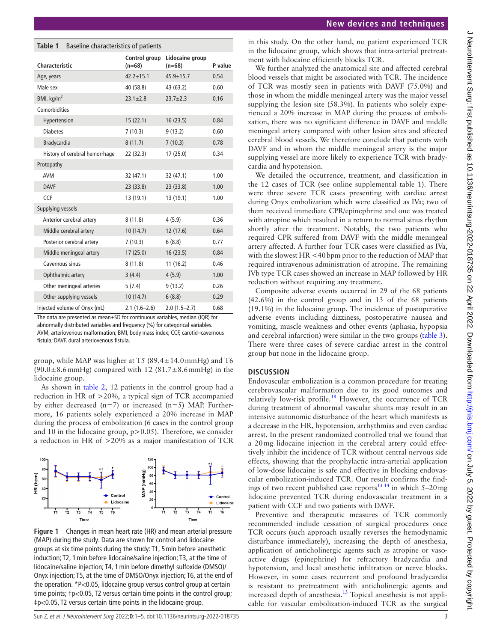<span id="page-2-0"></span>

| Table 1<br>Baseline characteristics of patients |                           |                             |         |  |  |  |  |
|-------------------------------------------------|---------------------------|-----------------------------|---------|--|--|--|--|
| Characteristic                                  | Control group<br>$(n=68)$ | Lidocaine group<br>$(n=68)$ | P value |  |  |  |  |
| Age, years                                      | $42.2 \pm 15.1$           | $45.9 \pm 15.7$             | 0.54    |  |  |  |  |
| Male sex                                        | 40 (58.8)                 | 43 (63.2)                   | 0.60    |  |  |  |  |
| BMI, $\text{kg/m}^2$                            | $23.1 \pm 2.8$            | $23.7 \pm 2.3$              | 0.16    |  |  |  |  |
| Comorbidities                                   |                           |                             |         |  |  |  |  |
| Hypertension                                    | 15(22.1)                  | 16(23.5)                    | 0.84    |  |  |  |  |
| <b>Diabetes</b>                                 | 7(10.3)                   | 9(13.2)                     | 0.60    |  |  |  |  |
| Bradycardia                                     | 8(11.7)                   | 7(10.3)                     | 0.78    |  |  |  |  |
| History of cerebral hemorrhage                  | 22 (32.3)                 | 17(25.0)                    | 0.34    |  |  |  |  |
| Protopathy                                      |                           |                             |         |  |  |  |  |
| <b>AVM</b>                                      | 32 (47.1)                 | 32 (47.1)                   | 1.00    |  |  |  |  |
| <b>DAVF</b>                                     | 23 (33.8)                 | 23(33.8)                    | 1.00    |  |  |  |  |
| CCF                                             | 13 (19.1)                 | 13 (19.1)                   | 1.00    |  |  |  |  |
| Supplying vessels                               |                           |                             |         |  |  |  |  |
| Anterior cerebral artery                        | 8(11.8)                   | 4(5.9)                      | 0.36    |  |  |  |  |
| Middle cerebral artery                          | 10(14.7)                  | 12(17.6)                    | 0.64    |  |  |  |  |
| Posterior cerebral artery                       | 7(10.3)                   | 6(8.8)                      | 0.77    |  |  |  |  |
| Middle meningeal artery                         | 17(25.0)                  | 16(23.5)                    | 0.84    |  |  |  |  |
| Cavernous sinus                                 | 8(11.8)                   | 11(16.2)                    | 0.46    |  |  |  |  |
| Ophthalmic artery                               | 3(4.4)                    | 4(5.9)                      | 1.00    |  |  |  |  |
| Other meningeal arteries                        | 5(7.4)                    | 9(13.2)                     | 0.26    |  |  |  |  |
| Other supplying vessels                         | 10(14.7)                  | 6(8.8)                      | 0.29    |  |  |  |  |
| Injected volume of Onyx (mL)                    | $2.1(1.6-2.6)$            | $2.0(1.5-2.7)$              | 0.68    |  |  |  |  |

The data are presented as mean±SD for continuous variables, median (IQR) for abnormally distributed variables and frequency (%) for categorical variables. AVM, arteriovenous malformation; BMI, body mass index; CCF, carotid–cavernous fistula; DAVF, dural arteriovenous fistula.

group, while MAP was higher at T5  $(89.4 \pm 14.0 \text{ mmHg})$  and T6  $(90.0\pm8.6 \text{ mmHg})$  compared with T2  $(81.7\pm8.6 \text{ mmHg})$  in the lidocaine group.

As shown in [table](#page-3-0) 2, 12 patients in the control group had a reduction in HR of >20%, a typical sign of TCR accompanied by either decreased (n=7) or increased (n=5) MAP. Furthermore, 16 patients solely experienced a 20% increase in MAP during the process of embolization (6 cases in the control group and 10 in the lidocaine group, p>0.05). Therefore, we consider a reduction in HR of >20% as a major manifestation of TCR



<span id="page-2-1"></span>**Figure 1** Changes in mean heart rate (HR) and mean arterial pressure (MAP) during the study. Data are shown for control and lidocaine groups at six time points during the study: T1, 5min before anesthetic induction; T2, 1min before lidocaine/saline injection; T3, at the time of lidocaine/saline injection; T4, 1min before dimethyl sulfoxide (DMSO)/ Onyx injection; T5, at the time of DMSO/Onyx injection; T6, at the end of the operation. \*P<0.05, lidocaine group versus control group at certain time points; †p<0.05, T2 versus certain time points in the control group; ‡p<0.05, T2 versus certain time points in the lidocaine group.

in this study. On the other hand, no patient experienced TCR in the lidocaine group, which shows that intra-arterial pretreatment with lidocaine efficiently blocks TCR.

We further analyzed the anatomical site and affected cerebral blood vessels that might be associated with TCR. The incidence of TCR was mostly seen in patients with DAVF (75.0%) and those in whom the middle meningeal artery was the major vessel supplying the lesion site (58.3%). In patients who solely experienced a 20% increase in MAP during the process of embolization, there was no significant difference in DAVF and middle meningeal artery compared with other lesion sites and affected cerebral blood vessels. We therefore conclude that patients with DAVF and in whom the middle meningeal artery is the major supplying vessel are more likely to experience TCR with bradycardia and hypotension.

We detailed the occurrence, treatment, and classification in the 12 cases of TCR (see [online supplemental table 1](https://dx.doi.org/10.1136/neurintsurg-2022-018735)). There were three severe TCR cases presenting with cardiac arrest during Onyx embolization which were classified as IVa; two of them received immediate CPR/epinephrine and one was treated with atropine which resulted in a return to normal sinus rhythm shortly after the treatment. Notably, the two patients who required CPR suffered from DAVF with the middle meningeal artery affected. A further four TCR cases were classified as IVa, with the slowest HR <40bpm prior to the reduction of MAP that required intravenous administration of atropine. The remaining IVb type TCR cases showed an increase in MAP followed by HR reduction without requiring any treatment.

Composite adverse events occurred in 29 of the 68 patients (42.6%) in the control group and in 13 of the 68 patients (19.1%) in the lidocaine group. The incidence of postoperative adverse events including dizziness, postoperative nausea and vomiting, muscle weakness and other events (aphasia, hypopsia and cerebral infarction) were similar in the two groups ([table](#page-3-1) 3). There were three cases of severe cardiac arrest in the control group but none in the lidocaine group.

## **DISCUSSION**

Endovascular embolization is a common procedure for treating cerebrovascular malformation due to its good outcomes and relatively low-risk profile.<sup>18</sup> However, the occurrence of TCR during treatment of abnormal vascular shunts may result in an intensive autonomic disturbance of the heart which manifests as a decrease in the HR, hypotension, arrhythmias and even cardiac arrest. In the present randomized controlled trial we found that a 20mg lidocaine injection in the cerebral artery could effectively inhibit the incidence of TCR without central nervous side effects, showing that the prophylactic intra-arterial application of low-dose lidocaine is safe and effective in blocking endovascular embolization-induced TCR. Our result confirms the findings of two recent published case reports<sup>13 14</sup> in which  $5-20$  mg lidocaine prevented TCR during endovascular treatment in a patient with CCF and two patients with DAVF.

Preventive and therapeutic measures of TCR commonly recommended include cessation of surgical procedures once TCR occurs (such approach usually reverses the hemodynamic disturbance immediately), increasing the depth of anesthesia, application of anticholinergic agents such as atropine or vasoactive drugs (epinephrine) for refractory bradycardia and hypotension, and local anesthetic infiltration or nerve blocks. However, in some cases recurrent and profound bradycardia is resistant to pretreatment with anticholinergic agents and increased depth of anesthesia[.13](#page-4-6) Topical anesthesia is not applicable for vascular embolization-induced TCR as the surgical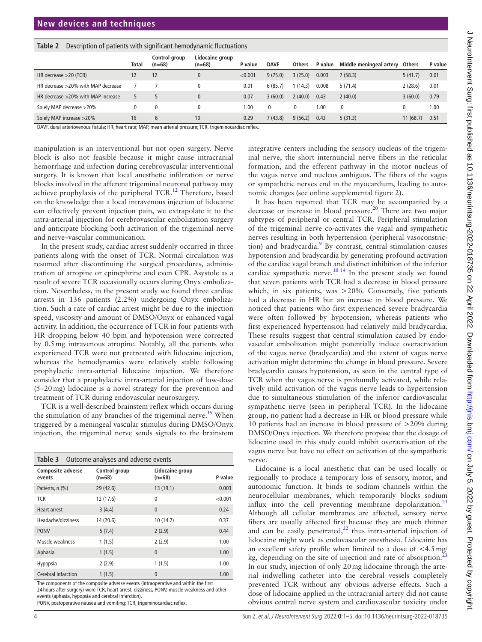<span id="page-3-0"></span>

|  | Table 2 Description of patients with significant hemodynamic fluctuations |  |  |  |  |
|--|---------------------------------------------------------------------------|--|--|--|--|
|--|---------------------------------------------------------------------------|--|--|--|--|

|                                       |       | Control group | Lidocaine group |         |             |               |         |                         |               |         |
|---------------------------------------|-------|---------------|-----------------|---------|-------------|---------------|---------|-------------------------|---------------|---------|
|                                       | Total | $(n=68)$      | $(n=68)$        | P value | <b>DAVF</b> | <b>Others</b> | P value | Middle meningeal artery | <b>Others</b> | P value |
| HR decrease $>$ 20 (TCR)              |       | 12            | $\mathbf{0}$    | < 0.001 | 9(75.0)     | 3(25.0)       | 0.003   | 7(58.3)                 | 5(41.7)       | 0.01    |
| HR decrease >20% with MAP decrease    |       |               | $\bf{0}$        | 0.01    | 6(85.7)     | 1(14.3)       | 0.008   | 5(71.4)                 | 2(28.6)       | 0.01    |
| HR decrease $>20\%$ with MAP increase |       |               | $\mathbf{0}$    | 0.07    | 3(60.0)     | 2(40.0)       | 0.43    | 2(40.0)                 | 3(60.0)       | 0.79    |
| Solely MAP decrease >20%              | 0     | 0             | 0               | 1.00    | 0           | 0             | 0.00    | 0                       |               | 1.00    |
| Solely MAP increase >20%              | 16    | b             | 10              | 0.29    | 7(43.8)     | 9(56.2)       | 0.43    | 5(31.3)                 | 11(68.7)      | 0.51    |

DAVF, dural arteriovenous fistula; HR, heart rate; MAP, mean arterial pressure; TCR, trigeminocardiac reflex.

manipulation is an interventional but not open surgery. Nerve block is also not feasible because it might cause intracranial hemorrhage and infection during cerebrovascular interventional surgery. It is known that local anesthetic infiltration or nerve blocks involved in the afferent trigeminal neuronal pathway may achieve prophylaxis of the peripheral TCR.<sup>12</sup> Therefore, based on the knowledge that a local intravenous injection of lidocaine can effectively prevent injection pain, we extrapolate it to the intra-arterial injection for cerebrovascular embolization surgery and anticipate blocking both activation of the trigeminal nerve and nerve–vascular communication.

In the present study, cardiac arrest suddenly occurred in three patients along with the onset of TCR. Normal circulation was resumed after discontinuing the surgical procedures, administration of atropine or epinephrine and even CPR. Asystole as a result of severe TCR occasionally occurs during Onyx embolization. Nevertheless, in the present study we found three cardiac arrests in 136 patients (2.2%) undergoing Onyx embolization. Such a rate of cardiac arrest might be due to the injection speed, viscosity and amount of DMSO/Onyx or enhanced vagal activity. In addition, the occurrence of TCR in four patients with HR dropping below 40 bpm and hypotension were corrected by 0.5mg intravenous atropine. Notably, all the patients who experienced TCR were not pretreated with lidocaine injection, whereas the hemodynamics were relatively stable following prophylactic intra-arterial lidocaine injection. We therefore consider that a prophylactic intra-arterial injection of low-dose (5–20mg) lidocaine is a novel strategy for the prevention and treatment of TCR during endovascular neurosurgery.

TCR is a well-described brainstem reflex which occurs during the stimulation of any branches of the trigeminal nerve.<sup>19</sup> When triggered by a meningeal vascular stimulus during DMSO/Onyx injection, the trigeminal nerve sends signals to the brainstem

<span id="page-3-1"></span>

| Table 3<br>Outcome analyses and adverse events |                           |                             |         |  |  |  |  |
|------------------------------------------------|---------------------------|-----------------------------|---------|--|--|--|--|
| <b>Composite adverse</b><br>events             | Control group<br>$(n=68)$ | Lidocaine group<br>$(n=68)$ | P value |  |  |  |  |
| Patients, n (%)                                | 29 (42.6)                 | 13(19.1)                    | 0.003   |  |  |  |  |
| <b>TCR</b>                                     | 12 (17.6)                 | 0                           | < 0.001 |  |  |  |  |
| Heart arrest                                   | 3(4.4)                    | $\theta$                    | 0.24    |  |  |  |  |
| Headache/dizziness                             | 14 (20.6)                 | 10 (14.7)                   | 0.37    |  |  |  |  |
| <b>PONV</b>                                    | 5(7.4)                    | 2(2.9)                      | 0.44    |  |  |  |  |
| Muscle weakness                                | 1(1.5)                    | 2(2.9)                      | 1.00    |  |  |  |  |
| Aphasia                                        | 1(1.5)                    | $\theta$                    | 1.00    |  |  |  |  |
| Hypopsia                                       | 2(2.9)                    | 1(1.5)                      | 1.00    |  |  |  |  |
| Cerebral infarction                            | 1(1.5)                    | $\theta$                    | 1.00    |  |  |  |  |

The components of the composite adverse events (intraoperative and within the first 24 hours after surgery) were TCR, heart arrest, dizziness, PONV, muscle weakness and other events (aphasia, hypopsia and cerebral infarction).

PONV, postoperative nausea and vomiting; TCR, trigeminocardiac reflex.

integrative centers including the sensory nucleus of the trigeminal nerve, the short internuncial nerve fibers in the reticular formation, and the efferent pathway in the motor nucleus of the vagus nerve and nucleus ambiguus. The fibers of the vagus or sympathetic nerves end in the myocardium, leading to autonomic changes (see [online supplemental figure 2](https://dx.doi.org/10.1136/neurintsurg-2022-018735)).

It has been reported that TCR may be accompanied by a decrease or increase in blood pressure.<sup>[20](#page-4-13)</sup> There are two major subtypes of peripheral or central TCR. Peripheral stimulation of the trigeminal nerve co-activates the vagal and sympathetic nerves resulting in both hypertension (peripheral vasoconstric-tion) and bradycardia.<sup>[9](#page-4-5)</sup> By contrast, central stimulation causes hypotension and bradycardia by generating profound activation of the cardiac vagal branch and distinct inhibition of the inferior cardiac sympathetic nerve.<sup>[10 14](#page-4-14)</sup> In the present study we found that seven patients with TCR had a decrease in blood pressure which, in six patients, was >20%. Conversely, five patients had a decrease in HR but an increase in blood pressure. We noticed that patients who first experienced severe bradycardia were often followed by hypotension, whereas patients who first experienced hypertension had relatively mild bradycardia. These results suggest that central stimulation caused by endovascular embolization might potentially induce overactivation of the vagus nerve (bradycardia) and the extent of vagus nerve activation might determine the change in blood pressure. Severe bradycardia causes hypotension, as seen in the central type of TCR when the vagus nerve is profoundly activated, while relatively mild activation of the vagus nerve leads to hypertension due to simultaneous stimulation of the inferior cardiovascular sympathetic nerve (seen in peripheral TCR). In the lidocaine group, no patient had a decrease in HR or blood pressure while 10 patients had an increase in blood pressure of >20% during DMSO/Onyx injection. We therefore propose that the dosage of lidocaine used in this study could inhibit overactivation of the vagus nerve but have no effect on activation of the sympathetic nerve.

Lidocaine is a local anesthetic that can be used locally or regionally to produce a temporary loss of sensory, motor, and autonomic function. It binds to sodium channels within the neurocellular membranes, which temporarily blocks sodium influx into the cell preventing membrane depolarization. $21$ Although all cellular membranes are affected, sensory nerve fibers are usually affected first because they are much thinner and can be easily penetrated,<sup>22</sup> thus intra-arterial injection of lidocaine might work as endovascular anesthesia. Lidocaine has an excellent safety profile when limited to a dose of <4.5mg/ kg, depending on the site of injection and rate of absorption.<sup>[23](#page-4-17)</sup> In our study, injection of only 20mg lidocaine through the arterial indwelling catheter into the cerebral vessels completely prevented TCR without any obvious adverse effects. Such a dose of lidocaine applied in the intracranial artery did not cause obvious central nerve system and cardiovascular toxicity under